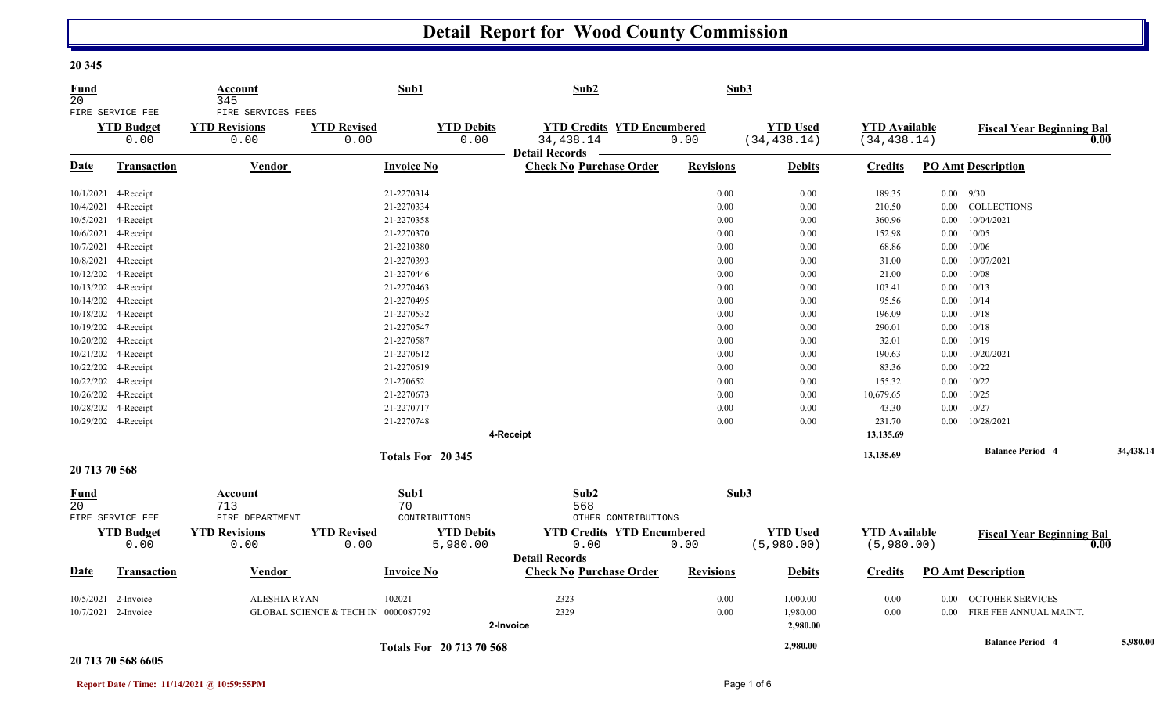## **Detail Report for Wood County Commission**

| <b>Fund</b><br>20 |                                               | Account<br>345                                     |                                     | Sub1                      | Sub2                                                    |                                           | Sub3             |                                 |                                      |          |                                  |           |
|-------------------|-----------------------------------------------|----------------------------------------------------|-------------------------------------|---------------------------|---------------------------------------------------------|-------------------------------------------|------------------|---------------------------------|--------------------------------------|----------|----------------------------------|-----------|
|                   | FIRE SERVICE FEE<br><b>YTD Budget</b><br>0.00 | FIRE SERVICES FEES<br><b>YTD Revisions</b><br>0.00 | <b>YTD Revised</b><br>0.00          | <b>YTD Debits</b><br>0.00 | 34,438.14<br><b>Detail Records</b>                      | <b>YTD Credits YTD Encumbered</b><br>0.00 |                  | <b>YTD Used</b><br>(34, 438.14) | <b>YTD Available</b><br>(34, 438.14) |          | <b>Fiscal Year Beginning Bal</b> | 0.00      |
| <b>Date</b>       | Transaction                                   | Vendor                                             |                                     | <b>Invoice No</b>         | <b>Check No Purchase Order</b>                          |                                           | <b>Revisions</b> | <b>Debits</b>                   | <b>Credits</b>                       |          | <b>PO Amt Description</b>        |           |
|                   | 10/1/2021 4-Receipt                           |                                                    |                                     | 21-2270314                |                                                         |                                           | 0.00             | 0.00                            | 189.35                               |          | $0.00$ 9/30                      |           |
|                   | 10/4/2021 4-Receipt                           |                                                    |                                     | 21-2270334                |                                                         |                                           | 0.00             | 0.00                            | 210.50                               |          | 0.00 COLLECTIONS                 |           |
|                   | 10/5/2021 4-Receipt                           |                                                    |                                     | 21-2270358                |                                                         |                                           | 0.00             | 0.00                            | 360.96                               | $0.00\,$ | 10/04/2021                       |           |
|                   | 10/6/2021 4-Receipt                           |                                                    |                                     | 21-2270370                |                                                         |                                           | 0.00             | 0.00                            | 152.98                               |          | $0.00$ 10/05                     |           |
|                   | 10/7/2021 4-Receipt                           |                                                    |                                     | 21-2210380                |                                                         |                                           | 0.00             | 0.00                            | 68.86                                | $0.00\,$ | 10/06                            |           |
|                   | 10/8/2021 4-Receipt                           |                                                    |                                     | 21-2270393                |                                                         |                                           | 0.00             | 0.00                            | 31.00                                | $0.00\,$ | 10/07/2021                       |           |
|                   | 10/12/202 4-Receipt                           |                                                    |                                     | 21-2270446                |                                                         |                                           | 0.00             | $0.00\,$                        | 21.00                                | $0.00\,$ | 10/08                            |           |
|                   | 10/13/202 4-Receipt                           |                                                    |                                     | 21-2270463                |                                                         |                                           | $0.00\,$         | $0.00\,$                        | 103.41                               |          | $0.00$ 10/13                     |           |
|                   | 10/14/202 4-Receipt                           |                                                    |                                     | 21-2270495                |                                                         |                                           | $0.00\,$         | $0.00\,$                        | 95.56                                |          | $0.00$ $10/14$                   |           |
|                   | 10/18/202 4-Receipt                           |                                                    |                                     | 21-2270532                |                                                         |                                           | 0.00             | 0.00                            | 196.09                               | $0.00\,$ | 10/18                            |           |
|                   | 10/19/202 4-Receipt                           |                                                    |                                     | 21-2270547                |                                                         |                                           | 0.00             | 0.00                            | 290.01                               |          | $0.00$ $10/18$                   |           |
|                   | 10/20/202 4-Receipt                           |                                                    |                                     | 21-2270587                |                                                         |                                           | $0.00\,$         | 0.00                            | 32.01                                |          | $0.00 \quad 10/19$               |           |
|                   | 10/21/202 4-Receipt                           |                                                    |                                     | 21-2270612                |                                                         |                                           | 0.00             | 0.00                            | 190.63                               | $0.00\,$ | 10/20/2021                       |           |
|                   | 10/22/202 4-Receipt                           |                                                    |                                     | 21-2270619                |                                                         |                                           | 0.00             | 0.00                            | 83.36                                | $0.00\,$ | 10/22                            |           |
|                   | 10/22/202 4-Receipt                           |                                                    |                                     | 21-270652                 |                                                         |                                           | 0.00             | 0.00                            | 155.32                               |          | $0.00$ $10/22$                   |           |
|                   | 10/26/202 4-Receipt                           |                                                    |                                     | 21-2270673                |                                                         |                                           | $0.00\,$         | 0.00                            | 10,679.65                            | $0.00\,$ | 10/25                            |           |
|                   | 10/28/202 4-Receipt                           |                                                    |                                     | 21-2270717                |                                                         |                                           | 0.00             | 0.00                            | 43.30                                | $0.00\,$ | 10/27                            |           |
|                   | 10/29/202 4-Receipt                           |                                                    |                                     | 21-2270748                |                                                         |                                           | 0.00             | 0.00                            | 231.70                               | $0.00\,$ | 10/28/2021                       |           |
|                   |                                               |                                                    |                                     |                           | 4-Receipt                                               |                                           |                  |                                 | 13,135.69                            |          |                                  |           |
|                   |                                               |                                                    |                                     | Totals For 20 345         |                                                         |                                           |                  |                                 | 13,135.69                            |          | <b>Balance Period 4</b>          | 34,438.14 |
| 20 713 70 568     |                                               |                                                    |                                     |                           |                                                         |                                           |                  |                                 |                                      |          |                                  |           |
| <b>Fund</b><br>20 |                                               | Account<br>713                                     |                                     | Sub1<br>70                | Sub2<br>568                                             |                                           | Sub3             |                                 |                                      |          |                                  |           |
|                   | FIRE SERVICE FEE                              | FIRE DEPARTMENT                                    |                                     | CONTRIBUTIONS             |                                                         | OTHER CONTRIBUTIONS                       |                  |                                 |                                      |          |                                  |           |
|                   | <b>YTD Budget</b>                             | <b>YTD Revisions</b>                               | <b>YTD Revised</b>                  | <b>YTD</b> Debits         |                                                         | <b>YTD Credits YTD Encumbered</b>         |                  | <b>YTD Used</b>                 | <b>YTD Available</b>                 |          | <b>Fiscal Year Beginning Bal</b> |           |
|                   | 0.00                                          | 0.00                                               | 0.00                                | 5,980.00                  | 0.00                                                    | 0.00                                      |                  | (5,980.00)                      | (5,980.00)                           |          |                                  | 0.00      |
| <b>Date</b>       | Transaction                                   | <b>Vendor</b>                                      |                                     | <b>Invoice No</b>         | <b>Detail Records</b><br><b>Check No Purchase Order</b> |                                           | <b>Revisions</b> | <b>Debits</b>                   | <b>Credits</b>                       |          | <b>PO Amt Description</b>        |           |
|                   | 10/5/2021 2-Invoice                           | <b>ALESHIA RYAN</b>                                |                                     | 102021                    | 2323                                                    |                                           | 0.00             | 1,000.00                        | $0.00\,$                             | $0.00\,$ | <b>OCTOBER SERVICES</b>          |           |
|                   | 10/7/2021 2-Invoice                           |                                                    | GLOBAL SCIENCE & TECH IN 0000087792 |                           | 2329                                                    |                                           | 0.00             | 1,980.00                        | 0.00                                 |          | 0.00 FIRE FEE ANNUAL MAINT.      |           |
|                   |                                               |                                                    |                                     |                           | 2-Invoice                                               |                                           |                  | 2,980.00                        |                                      |          |                                  |           |
|                   |                                               |                                                    |                                     |                           |                                                         |                                           |                  |                                 |                                      |          |                                  |           |
|                   |                                               |                                                    |                                     | Totals For 20 713 70 568  |                                                         |                                           |                  | 2,980.00                        |                                      |          | <b>Balance Period 4</b>          | 5,980.00  |

## **20 713 70 568 6605**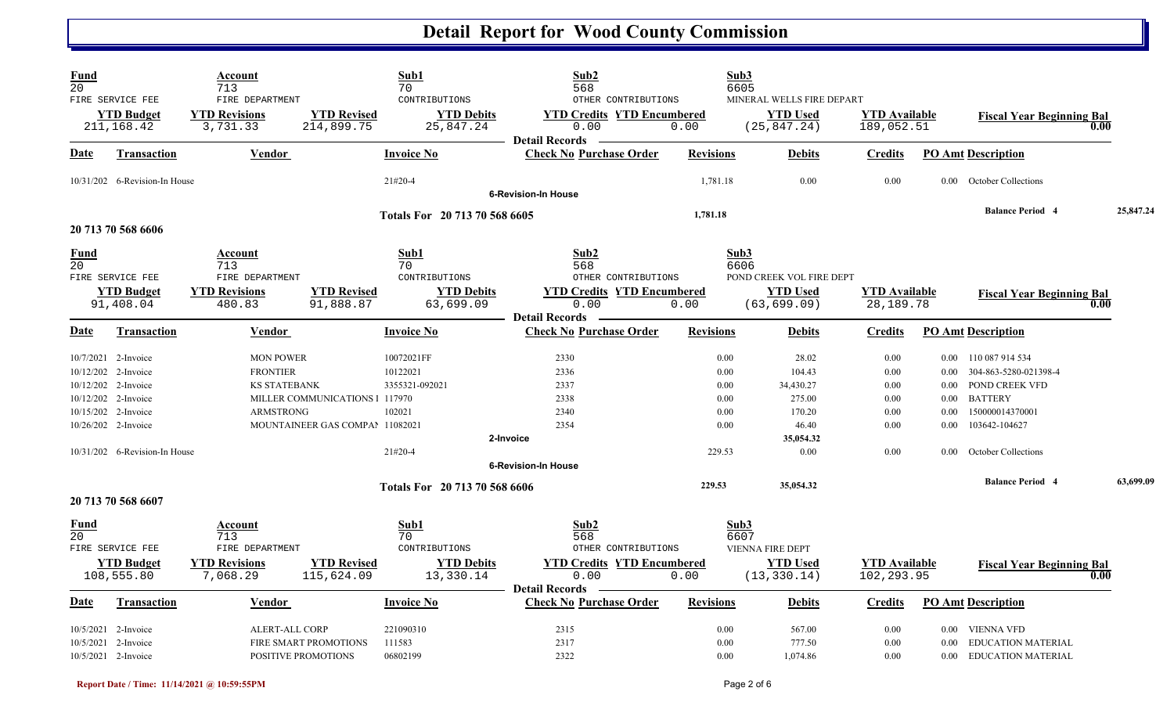## **Detail Report for Wood County Commission**

| Fund<br>20<br>FIRE SERVICE FEE                                    |                                  | Account<br>713<br>FIRE DEPARTMENT                          |                                                                   | Sub1<br>70<br>CONTRIBUTIONS                     | Sub2<br>568<br>OTHER CONTRIBUTIONS                                 |                      | Sub3<br>6605<br>MINERAL WELLS FIRE DEPART                  |                                     |                          |                                                                         |           |
|-------------------------------------------------------------------|----------------------------------|------------------------------------------------------------|-------------------------------------------------------------------|-------------------------------------------------|--------------------------------------------------------------------|----------------------|------------------------------------------------------------|-------------------------------------|--------------------------|-------------------------------------------------------------------------|-----------|
|                                                                   | <b>YTD Budget</b><br>211, 168.42 | <b>YTD Revisions</b><br>3,731.33                           | <b>YTD Revised</b><br>214,899.75                                  | <b>YTD Debits</b><br>25,847.24                  | <b>YTD Credits YTD Encumbered</b><br>0.00<br><b>Detail Records</b> | 0.00                 | <b>YTD Used</b><br>(25, 847.24)                            | <b>YTD Available</b><br>189,052.51  |                          | <b>Fiscal Year Beginning Bal</b>                                        | 0.00      |
| Date                                                              | <b>Transaction</b>               | Vendor                                                     |                                                                   | <b>Invoice No</b>                               | <b>Check No Purchase Order</b>                                     | <b>Revisions</b>     | <b>Debits</b>                                              | <b>Credits</b>                      |                          | <b>PO Amt Description</b>                                               |           |
|                                                                   | 10/31/202 6-Revision-In House    |                                                            |                                                                   | $21#20-4$                                       | <b>6-Revision-In House</b>                                         | 1,781.18             | 0.00                                                       | 0.00                                |                          | 0.00 October Collections                                                |           |
| 20 713 70 568 6606                                                |                                  |                                                            |                                                                   | Totals For 20 713 70 568 6605                   |                                                                    | 1,781.18             |                                                            |                                     |                          | <b>Balance Period 4</b>                                                 | 25,847.24 |
| Fund<br>20                                                        |                                  | Account<br>713<br>FIRE DEPARTMENT                          |                                                                   | Sub1<br>70<br>CONTRIBUTIONS                     | Sub2<br>568                                                        |                      | Sub3<br>6606<br>POND CREEK VOL FIRE DEPT                   |                                     |                          |                                                                         |           |
| FIRE SERVICE FEE                                                  | <b>YTD Budget</b><br>91,408.04   | <b>YTD Revisions</b><br>480.83                             | <b>YTD Revised</b><br>91,888.87                                   | <b>YTD Debits</b><br>63,699.09                  | OTHER CONTRIBUTIONS<br><b>YTD Credits YTD Encumbered</b><br>0.00   | 0.00                 | <b>YTD Used</b><br>(63, 699.09)                            | <b>YTD Available</b><br>28, 189. 78 |                          | <b>Fiscal Year Beginning Bal</b>                                        | 0.00      |
| Date                                                              | Transaction                      | Vendor                                                     |                                                                   | <b>Invoice No</b>                               | <b>Detail Records</b><br><b>Check No Purchase Order</b>            | <b>Revisions</b>     | <b>Debits</b>                                              | <b>Credits</b>                      |                          | <b>PO Amt Description</b>                                               |           |
| 10/7/2021 2-Invoice<br>10/12/202 2-Invoice<br>10/12/202 2-Invoice |                                  | <b>MON POWER</b><br><b>FRONTIER</b><br><b>KS STATEBANK</b> |                                                                   | 10072021FF<br>10122021<br>3355321-092021        | 2330<br>2336<br>2337                                               | 0.00<br>0.00<br>0.00 | 28.02<br>104.43<br>34,430.27                               | 0.00<br>0.00<br>0.00                | $0.00\,$<br>0.00         | 0.00 110 087 914 534<br>304-863-5280-021398-4<br>POND CREEK VFD         |           |
| 10/12/202 2-Invoice<br>10/15/202 2-Invoice<br>10/26/202 2-Invoice |                                  | <b>ARMSTRONG</b>                                           | MILLER COMMUNICATIONS 1 117970<br>MOUNTAINEER GAS COMPAI 11082021 | 102021                                          | 2338<br>2340<br>2354                                               | 0.00<br>0.00<br>0.00 | 275.00<br>170.20<br>46.40                                  | 0.00<br>0.00<br>0.00                | 0.00<br>$0.00\,$<br>0.00 | <b>BATTERY</b><br>150000014370001<br>103642-104627                      |           |
|                                                                   | 10/31/202 6-Revision-In House    |                                                            |                                                                   | $21#20-4$                                       | 2-Invoice<br><b>6-Revision-In House</b>                            | 229.53               | 35,054.32<br>0.00                                          | 0.00                                | 0.00 <sub>1</sub>        | October Collections                                                     |           |
| 20 713 70 568 6607                                                |                                  |                                                            |                                                                   | Totals For 20 713 70 568 6606                   |                                                                    | 229.53               | 35,054.32                                                  |                                     |                          | <b>Balance Period 4</b>                                                 | 63,699.09 |
| <u>Fund</u><br>20                                                 |                                  | Account<br>713                                             |                                                                   | Sub1<br>70                                      | Sub2<br>568                                                        |                      | Sub3<br>6607                                               |                                     |                          |                                                                         |           |
| FIRE SERVICE FEE<br>108,555.80                                    | <b>YTD Budget</b>                | FIRE DEPARTMENT<br><b>YTD Revisions</b><br>7,068.29        | <b>YTD Revised</b><br>115,624.09                                  | CONTRIBUTIONS<br><b>YTD Debits</b><br>13,330.14 | OTHER CONTRIBUTIONS<br><b>YTD Credits YTD Encumbered</b><br>0.00   | 0.00                 | <b>VIENNA FIRE DEPT</b><br><b>YTD</b> Used<br>(13, 330.14) | <b>YTD</b> Available<br>102,293.95  |                          | <b>Fiscal Year Beginning Bal</b>                                        | 0.00      |
| Date                                                              | <b>Transaction</b>               | Vendor                                                     |                                                                   | <b>Invoice No</b>                               | <b>Detail Records</b><br><b>Check No Purchase Order</b>            | <b>Revisions</b>     | <b>Debits</b>                                              | <b>Credits</b>                      |                          | <b>PO Amt Description</b>                                               |           |
| 10/5/2021 2-Invoice<br>10/5/2021 2-Invoice<br>10/5/2021 2-Invoice |                                  | ALERT-ALL CORP                                             | FIRE SMART PROMOTIONS<br>POSITIVE PROMOTIONS                      | 221090310<br>111583<br>06802199                 | 2315<br>2317<br>2322                                               | 0.00<br>0.00<br>0.00 | 567.00<br>777.50<br>1,074.86                               | 0.00<br>0.00<br>0.00                | 0.00                     | 0.00 VIENNA VFD<br><b>EDUCATION MATERIAL</b><br>0.00 EDUCATION MATERIAL |           |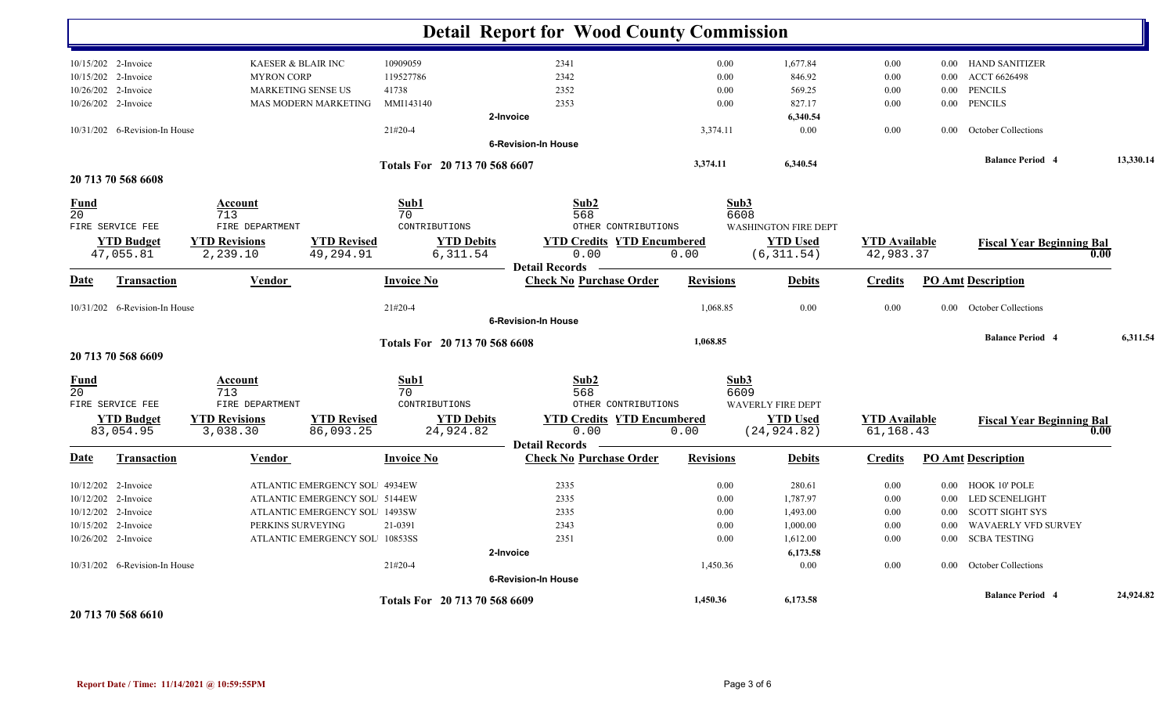|                   |                               |                                   |                                |                               | <b>Detail Report for Wood County Commission</b> |                  |                                             |                      |          |                                          |           |
|-------------------|-------------------------------|-----------------------------------|--------------------------------|-------------------------------|-------------------------------------------------|------------------|---------------------------------------------|----------------------|----------|------------------------------------------|-----------|
|                   | 10/15/202 2-Invoice           |                                   | <b>KAESER &amp; BLAIR INC</b>  | 10909059                      | 2341                                            | $0.00\,$         | 1,677.84                                    | 0.00                 |          | 0.00 HAND SANITIZER                      |           |
|                   | 10/15/202 2-Invoice           | <b>MYRON CORP</b>                 |                                | 119527786                     | 2342                                            | 0.00             | 846.92                                      | 0.00                 | 0.00     | ACCT 6626498                             |           |
|                   | 10/26/202 2-Invoice           |                                   | <b>MARKETING SENSE US</b>      | 41738                         | 2352                                            | 0.00             | 569.25                                      | 0.00                 | $0.00\,$ | <b>PENCILS</b>                           |           |
|                   | 10/26/202 2-Invoice           |                                   | MAS MODERN MARKETING           | MMI143140                     | 2353                                            | 0.00             | 827.17                                      | 0.00                 | 0.00     | <b>PENCILS</b>                           |           |
|                   |                               |                                   |                                |                               | 2-Invoice                                       |                  | 6,340.54                                    |                      |          |                                          |           |
|                   | 10/31/202 6-Revision-In House |                                   |                                | 21#20-4                       |                                                 | 3,374.11         | 0.00                                        | 0.00                 | 0.00     | October Collections                      |           |
|                   |                               |                                   |                                |                               | <b>6-Revision-In House</b>                      |                  |                                             |                      |          |                                          |           |
|                   |                               |                                   |                                | Totals For 20 713 70 568 6607 |                                                 | 3,374.11         | 6,340.54                                    |                      |          | <b>Balance Period 4</b>                  | 13,330.14 |
|                   | 20 713 70 568 6608            |                                   |                                |                               |                                                 |                  |                                             |                      |          |                                          |           |
| Fund<br>20        | FIRE SERVICE FEE              | Account<br>713<br>FIRE DEPARTMENT |                                | Sub1<br>70<br>CONTRIBUTIONS   | Sub2<br>568<br>OTHER CONTRIBUTIONS              |                  | Sub3<br>6608<br><b>WASHINGTON FIRE DEPT</b> |                      |          |                                          |           |
|                   | <b>YTD Budget</b>             | <b>YTD Revisions</b>              | <b>YTD Revised</b>             | <b>YTD Debits</b>             | <b>YTD Credits YTD Encumbered</b>               |                  | <b>YTD Used</b>                             | <b>YTD</b> Available |          |                                          |           |
|                   | 47,055.81                     | 2,239.10                          | 49,294.91                      | 6,311.54                      | 0.00                                            | 0.00             | (6, 311.54)                                 | 42,983.37            |          | <b>Fiscal Year Beginning Bal</b><br>0.00 |           |
|                   |                               |                                   |                                |                               | <b>Detail Records</b>                           |                  |                                             |                      |          |                                          |           |
| Date              | <b>Transaction</b>            | Vendor                            |                                | <b>Invoice No</b>             | <b>Check No Purchase Order</b>                  | <b>Revisions</b> | <b>Debits</b>                               | <b>Credits</b>       |          | <b>PO Amt Description</b>                |           |
|                   | 10/31/202 6-Revision-In House |                                   |                                | $21#20-4$                     |                                                 | 1,068.85         | 0.00                                        | 0.00                 | $0.00\,$ | October Collections                      |           |
|                   |                               |                                   |                                |                               | <b>6-Revision-In House</b>                      |                  |                                             |                      |          |                                          |           |
|                   |                               |                                   |                                | Totals For 20 713 70 568 6608 |                                                 | 1,068.85         |                                             |                      |          | <b>Balance Period 4</b>                  | 6,311.54  |
|                   | 20 713 70 568 6609            |                                   |                                |                               |                                                 |                  |                                             |                      |          |                                          |           |
| <u>Fund</u><br>20 | FIRE SERVICE FEE              | Account<br>713<br>FIRE DEPARTMENT |                                | Sub1<br>70<br>CONTRIBUTIONS   | Sub2<br>568<br>OTHER CONTRIBUTIONS              |                  | Sub3<br>6609<br><b>WAVERLY FIRE DEPT</b>    |                      |          |                                          |           |
|                   | <b>YTD Budget</b>             | <b>YTD Revisions</b>              | <b>YTD Revised</b>             | <b>YTD Debits</b>             | <b>YTD Credits YTD Encumbered</b>               |                  | <b>YTD Used</b>                             | <b>YTD</b> Available |          | <b>Fiscal Year Beginning Bal</b>         |           |
|                   | 83,054.95                     | 3,038.30                          | 86,093.25                      | 24,924.82                     | 0.00                                            | 0.00             | (24, 924.82)                                | 61,168.43            |          | 0.00                                     |           |
|                   |                               |                                   |                                |                               | <b>Detail Records</b>                           |                  |                                             |                      |          |                                          |           |
| <b>Date</b>       | <b>Transaction</b>            | Vendor                            |                                | <b>Invoice No</b>             | <b>Check No Purchase Order</b>                  | <b>Revisions</b> | <b>Debits</b>                               | <b>Credits</b>       |          | <b>PO Amt Description</b>                |           |
|                   | 10/12/202 2-Invoice           |                                   | ATLANTIC EMERGENCY SOL 4934EW  |                               | 2335                                            | 0.00             | 280.61                                      | 0.00                 | 0.00     | HOOK 10' POLE                            |           |
|                   | 10/12/202 2-Invoice           |                                   | ATLANTIC EMERGENCY SOL 5144EW  |                               | 2335                                            | 0.00             | 1,787.97                                    | 0.00                 | $0.00\,$ | <b>LED SCENELIGHT</b>                    |           |
|                   | 10/12/202 2-Invoice           |                                   | ATLANTIC EMERGENCY SOL 1493SW  |                               | 2335                                            | 0.00             | 1,493.00                                    | 0.00                 | $0.00\,$ | SCOTT SIGHT SYS                          |           |
|                   | 10/15/202 2-Invoice           |                                   | PERKINS SURVEYING              | 21-0391                       | 2343                                            | 0.00             | 1,000.00                                    | 0.00                 | 0.00     | WAVAERLY VFD SURVEY                      |           |
|                   | 10/26/202 2-Invoice           |                                   | ATLANTIC EMERGENCY SOL 10853SS |                               | 2351                                            | 0.00             | 1,612.00                                    | 0.00                 | $0.00\,$ | <b>SCBA TESTING</b>                      |           |
|                   |                               |                                   |                                |                               | 2-Invoice                                       |                  | 6,173.58                                    |                      |          |                                          |           |
|                   | 10/31/202 6-Revision-In House |                                   |                                | 21#20-4                       |                                                 | 1,450.36         | 0.00                                        | 0.00                 | $0.00\,$ | October Collections                      |           |
|                   |                               |                                   |                                |                               | <b>6-Revision-In House</b>                      |                  |                                             |                      |          |                                          |           |
|                   |                               |                                   |                                | Totals For 20 713 70 568 6609 |                                                 | 1,450.36         | 6,173.58                                    |                      |          | <b>Balance Period 4</b>                  | 24,924.82 |
|                   | 0.512.507076710               |                                   |                                |                               |                                                 |                  |                                             |                      |          |                                          |           |

**20 713 70 568 6610**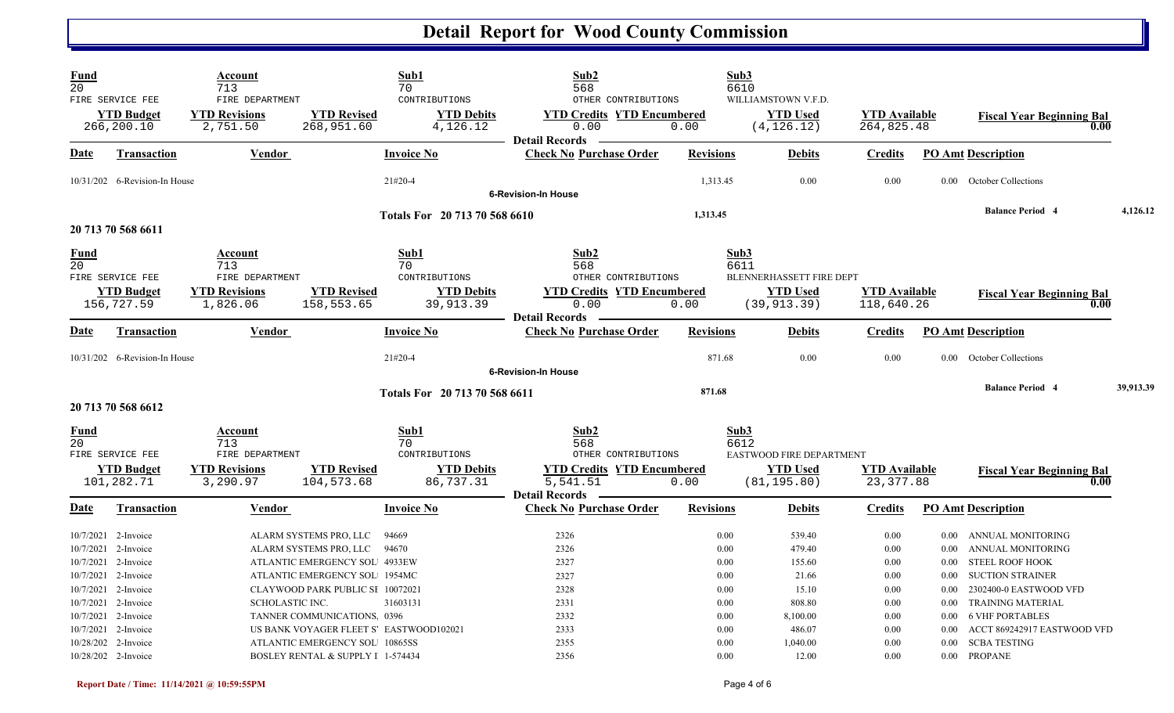## **Detail Report for Wood County Commission**

| Fund<br>$\overline{20}$ | FIRE SERVICE FEE<br><b>YTD Budget</b><br>266,200.10                                      | Account<br>713<br>FIRE DEPARTMENT<br><b>YTD Revisions</b><br>2,751.50 | <b>YTD Revised</b><br>268,951.60                                                                                   | Sub1<br>70<br>CONTRIBUTIONS<br><b>YTD Debits</b><br>4,126.12 | Sub2<br>568<br>OTHER CONTRIBUTIONS<br><b>YTD Credits YTD Encumbered</b><br>0.00 | 0.00                         | Sub3<br>6610<br>WILLIAMSTOWN V.F.D.<br><b>YTD Used</b><br>(4, 126.12) | <b>YTD Available</b><br>264,825.48 |                                      | <b>Fiscal Year Beginning Bal</b><br>0.00                                                                    |           |
|-------------------------|------------------------------------------------------------------------------------------|-----------------------------------------------------------------------|--------------------------------------------------------------------------------------------------------------------|--------------------------------------------------------------|---------------------------------------------------------------------------------|------------------------------|-----------------------------------------------------------------------|------------------------------------|--------------------------------------|-------------------------------------------------------------------------------------------------------------|-----------|
| Date                    | <b>Transaction</b>                                                                       | Vendor                                                                |                                                                                                                    | <b>Invoice No</b>                                            | <b>Detail Records</b><br><b>Check No Purchase Order</b>                         | <b>Revisions</b>             | <b>Debits</b>                                                         | <b>Credits</b>                     |                                      | <b>PO Amt Description</b>                                                                                   |           |
|                         | 10/31/202 6-Revision-In House                                                            |                                                                       |                                                                                                                    | 21#20-4                                                      | <b>6-Revision-In House</b>                                                      | 1,313.45                     | 0.00                                                                  | 0.00                               |                                      | 0.00 October Collections                                                                                    |           |
|                         | 20 713 70 568 6611                                                                       |                                                                       |                                                                                                                    | Totals For 20 713 70 568 6610                                |                                                                                 | 1,313.45                     |                                                                       |                                    |                                      | <b>Balance Period 4</b>                                                                                     | 4,126.12  |
| Fund<br>20              | FIRE SERVICE FEE<br><b>YTD Budget</b>                                                    | Account<br>713<br>FIRE DEPARTMENT<br><b>YTD Revisions</b>             | <b>YTD Revised</b>                                                                                                 | Sub1<br>70<br>CONTRIBUTIONS<br><b>YTD Debits</b>             | Sub2<br>568<br>OTHER CONTRIBUTIONS<br><b>YTD Credits YTD Encumbered</b>         |                              | Sub3<br>6611<br>BLENNERHASSETT FIRE DEPT<br><b>YTD Used</b>           | <b>YTD</b> Available               |                                      |                                                                                                             |           |
|                         | 156,727.59                                                                               | 1,826.06                                                              | 158,553.65                                                                                                         | 39,913.39                                                    | 0.00<br><b>Detail Records</b>                                                   | 0.00                         | (39, 913, 39)                                                         | 118,640.26                         |                                      | <b>Fiscal Year Beginning Bal</b><br>0.00                                                                    |           |
| Date                    | Transaction                                                                              | Vendor                                                                |                                                                                                                    | <b>Invoice No</b>                                            | <b>Check No Purchase Order</b>                                                  | <b>Revisions</b>             | <b>Debits</b>                                                         | <b>Credits</b>                     |                                      | <b>PO Amt Description</b>                                                                                   |           |
|                         | 10/31/202 6-Revision-In House                                                            |                                                                       |                                                                                                                    | $21#20-4$                                                    | <b>6-Revision-In House</b>                                                      | 871.68                       | 0.00                                                                  | 0.00                               | $0.00\,$                             | <b>October Collections</b>                                                                                  |           |
|                         | 20 713 70 568 6612                                                                       |                                                                       |                                                                                                                    | Totals For 20 713 70 568 6611                                |                                                                                 | 871.68                       |                                                                       |                                    |                                      | <b>Balance Period 4</b>                                                                                     | 39,913.39 |
| Fund<br>20              | FIRE SERVICE FEE                                                                         | Account<br>713<br>FIRE DEPARTMENT                                     |                                                                                                                    | Sub1<br>70<br>CONTRIBUTIONS                                  | Sub2<br>568<br>OTHER CONTRIBUTIONS                                              |                              | Sub3<br>6612<br>EASTWOOD FIRE DEPARTMENT                              |                                    |                                      |                                                                                                             |           |
|                         | <b>YTD Budget</b><br>101,282.71                                                          | <b>YTD Revisions</b><br>3,290.97                                      | <b>YTD Revised</b><br>104,573.68                                                                                   | <b>YTD Debits</b><br>86,737.31                               | <b>YTD Credits YTD Encumbered</b><br>5,541.51<br><b>Detail Records</b>          | 0.00                         | <b>YTD</b> Used<br>(81, 195.80)                                       | <b>YTD</b> Available<br>23, 377.88 |                                      | <b>Fiscal Year Beginning Bal</b><br>0.00                                                                    |           |
| <u>Date</u>             | <b>Transaction</b>                                                                       | <b>Vendor</b>                                                         |                                                                                                                    | <b>Invoice No</b>                                            | <b>Check No Purchase Order</b>                                                  | <b>Revisions</b>             | <b>Debits</b>                                                         | <b>Credits</b>                     |                                      | <b>PO Amt Description</b>                                                                                   |           |
|                         | 10/7/2021 2-Invoice<br>10/7/2021 2-Invoice<br>10/7/2021 2-Invoice<br>10/7/2021 2-Invoice |                                                                       | ALARM SYSTEMS PRO, LLC<br>ALARM SYSTEMS PRO, LLC<br>ATLANTIC EMERGENCY SOL 4933EW<br>ATLANTIC EMERGENCY SOL 1954MC | 94669<br>94670                                               | 2326<br>2326<br>2327<br>2327                                                    | 0.00<br>0.00<br>0.00<br>0.00 | 539.40<br>479.40<br>155.60<br>21.66                                   | 0.00<br>0.00<br>0.00<br>0.00       | $0.00\,$<br>0.00<br>$0.00\,$<br>0.00 | ANNUAL MONITORING<br>ANNUAL MONITORING<br>STEEL ROOF HOOK<br><b>SUCTION STRAINER</b>                        |           |
|                         | 10/7/2021 2-Invoice<br>10/7/2021 2-Invoice<br>10/7/2021 2-Invoice<br>10/7/2021 2-Invoice | SCHOLASTIC INC.                                                       | CLAYWOOD PARK PUBLIC SI 10072021<br>TANNER COMMUNICATIONS 0396                                                     | 31603131<br>US BANK VOYAGER FLEET S EASTWOOD102021           | 2328<br>2331<br>2332<br>2333                                                    | 0.00<br>0.00<br>0.00<br>0.00 | 15.10<br>808.80<br>8,100.00<br>486.07                                 | 0.00<br>0.00<br>0.00<br>0.00       | 0.00<br>$0.00\,$<br>0.00<br>0.00     | 2302400-0 EASTWOOD VFD<br><b>TRAINING MATERIAL</b><br><b>6 VHF PORTABLES</b><br>ACCT 869242917 EASTWOOD VFD |           |
|                         | 10/28/202 2-Invoice<br>10/28/202 2-Invoice                                               |                                                                       | ATLANTIC EMERGENCY SOL 10865SS<br>BOSLEY RENTAL & SUPPLY I 1-574434                                                |                                                              | 2355<br>2356                                                                    | 0.00<br>0.00                 | 1,040.00<br>12.00                                                     | 0.00<br>0.00                       | 0.00                                 | <b>SCBA TESTING</b><br>0.00 PROPANE                                                                         |           |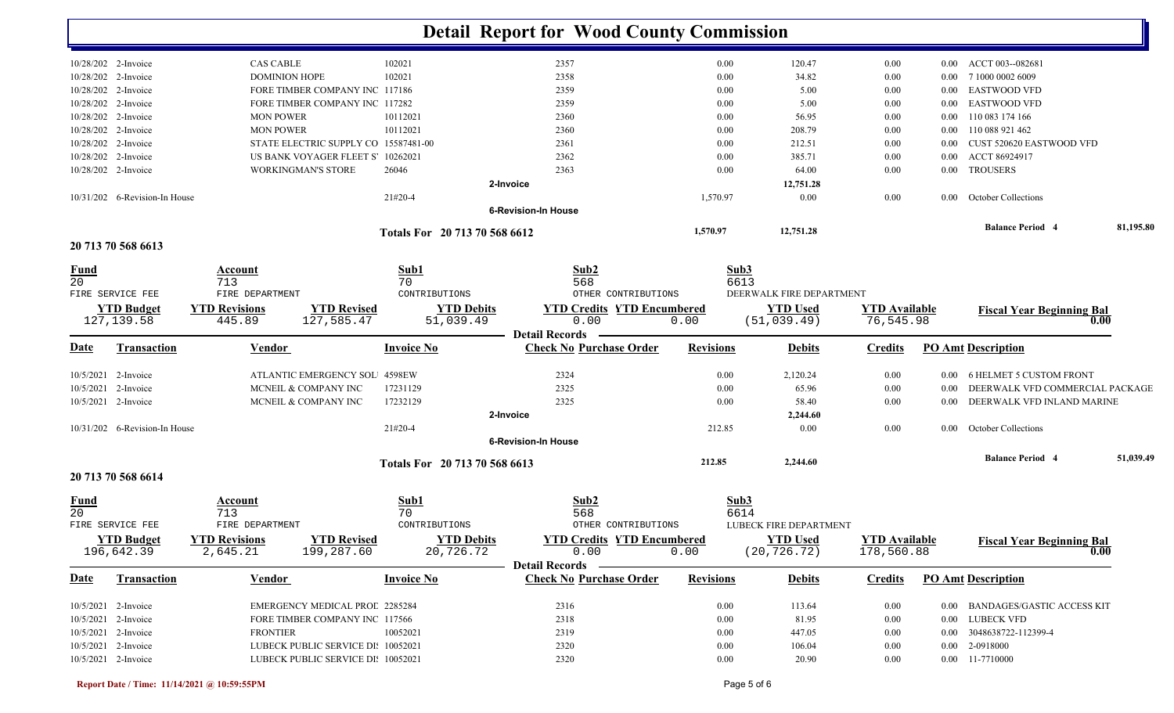|                                |                               |                        |                                       |                               | <b>Detail Report for Wood County Commission</b>         |                  |                          |                      |          |                                          |           |
|--------------------------------|-------------------------------|------------------------|---------------------------------------|-------------------------------|---------------------------------------------------------|------------------|--------------------------|----------------------|----------|------------------------------------------|-----------|
|                                | 10/28/202 2-Invoice           | <b>CAS CABLE</b>       |                                       | 102021                        | 2357                                                    | $0.00\,$         | 120.47                   | $0.00\,$             | $0.00\,$ | ACCT 003--082681                         |           |
|                                | 10/28/202 2-Invoice           | <b>DOMINION HOPE</b>   |                                       | 102021                        | 2358                                                    | 0.00             | 34.82                    | 0.00                 | 0.00     | 7 1000 0002 6009                         |           |
|                                | 10/28/202 2-Invoice           |                        | FORE TIMBER COMPANY INC 117186        |                               | 2359                                                    | 0.00             | 5.00                     | 0.00                 | 0.00     | <b>EASTWOOD VFD</b>                      |           |
|                                | 10/28/202 2-Invoice           |                        | FORE TIMBER COMPANY INC 117282        |                               | 2359                                                    | 0.00             | 5.00                     | 0.00                 | $0.00\,$ | <b>EASTWOOD VFD</b>                      |           |
|                                | 10/28/202 2-Invoice           | <b>MON POWER</b>       |                                       | 10112021                      | 2360                                                    | 0.00             | 56.95                    | 0.00                 | $0.00\,$ | 110 083 174 166                          |           |
|                                | 10/28/202 2-Invoice           | <b>MON POWER</b>       |                                       | 10112021                      | 2360                                                    | 0.00             | 208.79                   | 0.00                 | $0.00\,$ | 110 088 921 462                          |           |
|                                | 10/28/202 2-Invoice           |                        | STATE ELECTRIC SUPPLY CO 15587481-00  |                               | 2361                                                    | 0.00             | 212.51                   | 0.00                 | $0.00\,$ | CUST 520620 EASTWOOD VFD                 |           |
|                                | 10/28/202 2-Invoice           |                        | US BANK VOYAGER FLEET S 10262021      |                               | 2362                                                    | 0.00             | 385.71                   | 0.00                 | 0.00     | ACCT 86924917                            |           |
|                                | 10/28/202 2-Invoice           |                        | WORKINGMAN'S STORE                    | 26046                         | 2363                                                    | 0.00             | 64.00                    | 0.00                 | $0.00\,$ | <b>TROUSERS</b>                          |           |
|                                |                               |                        |                                       |                               | 2-Invoice                                               |                  | 12,751.28                |                      |          |                                          |           |
|                                | 10/31/202 6-Revision-In House |                        |                                       | 21#20-4                       |                                                         | 1,570.97         | 0.00                     | 0.00                 | $0.00\,$ | <b>October Collections</b>               |           |
|                                |                               |                        |                                       |                               | <b>6-Revision-In House</b>                              |                  |                          |                      |          | <b>Balance Period 4</b>                  | 81,195.80 |
|                                | 20 713 70 568 6613            |                        |                                       | Totals For 20 713 70 568 6612 |                                                         | 1,570.97         | 12,751.28                |                      |          |                                          |           |
|                                |                               |                        |                                       |                               |                                                         |                  |                          |                      |          |                                          |           |
| <u>Fund</u><br>$\overline{20}$ |                               | Account                |                                       | Sub1                          | Sub2                                                    | Sub3             |                          |                      |          |                                          |           |
|                                | FIRE SERVICE FEE              | 713<br>FIRE DEPARTMENT |                                       | 70<br>CONTRIBUTIONS           | 568<br>OTHER CONTRIBUTIONS                              | 6613             | DEERWALK FIRE DEPARTMENT |                      |          |                                          |           |
|                                | <b>YTD Budget</b>             | <b>YTD Revisions</b>   | <b>YTD Revised</b>                    | <b>YTD Debits</b>             | <b>YTD Credits YTD Encumbered</b>                       |                  | <b>YTD Used</b>          | <b>YTD Available</b> |          |                                          |           |
|                                | 127, 139.58                   | 445.89                 | 127,585.47                            | 51,039.49                     | 0.00                                                    | 0.00             | (51, 039.49)             | 76,545.98            |          | <b>Fiscal Year Beginning Bal</b><br>0.00 |           |
|                                |                               |                        |                                       |                               | <b>Detail Records</b>                                   |                  |                          |                      |          |                                          |           |
| Date                           | <b>Transaction</b>            | Vendor                 |                                       | <b>Invoice No</b>             | <b>Check No Purchase Order</b>                          | <b>Revisions</b> | <b>Debits</b>            | <b>Credits</b>       |          | <b>PO Amt Description</b>                |           |
|                                | 10/5/2021 2-Invoice           |                        | ATLANTIC EMERGENCY SOL 4598EW         |                               | 2324                                                    | 0.00             | 2,120.24                 | 0.00                 | 0.00     | 6 HELMET 5 CUSTOM FRONT                  |           |
|                                | 10/5/2021 2-Invoice           |                        | MCNEIL & COMPANY INC                  | 17231129                      | 2325                                                    | 0.00             | 65.96                    | $0.00\,$             | 0.00     | DEERWALK VFD COMMERCIAL PACKAGE          |           |
|                                | 10/5/2021 2-Invoice           |                        | MCNEIL & COMPANY INC                  | 17232129                      | 2325                                                    | 0.00             | 58.40                    | 0.00                 | 0.00     | DEERWALK VFD INLAND MARINE               |           |
|                                |                               |                        |                                       |                               | 2-Invoice                                               |                  | 2,244.60                 |                      |          |                                          |           |
|                                | 10/31/202 6-Revision-In House |                        |                                       | 21#20-4                       |                                                         | 212.85           | 0.00                     | $0.00\,$             |          | 0.00 October Collections                 |           |
|                                |                               |                        |                                       |                               | <b>6-Revision-In House</b>                              |                  |                          |                      |          |                                          |           |
|                                |                               |                        |                                       | Totals For 20 713 70 568 6613 |                                                         | 212.85           | 2,244.60                 |                      |          | <b>Balance Period 4</b>                  | 51,039.49 |
|                                | 20 713 70 568 6614            |                        |                                       |                               |                                                         |                  |                          |                      |          |                                          |           |
|                                |                               | <b>Account</b>         |                                       | Sub1                          | Sub2                                                    | Sub3             |                          |                      |          |                                          |           |
| $\frac{Fund}{20}$              |                               | 713                    |                                       | 70                            | 568                                                     | 6614             |                          |                      |          |                                          |           |
|                                | FIRE SERVICE FEE              | FIRE DEPARTMENT        |                                       | CONTRIBUTIONS                 | OTHER CONTRIBUTIONS                                     |                  | LUBECK FIRE DEPARTMENT   |                      |          |                                          |           |
|                                | <b>YTD Budget</b>             | <b>YTD Revisions</b>   | <b>YTD Revised</b>                    | <b>YTD Debits</b>             | <b>YTD Credits YTD Encumbered</b>                       |                  | <b>YTD Used</b>          | <b>YTD Available</b> |          | <b>Fiscal Year Beginning Bal</b>         |           |
|                                | 196,642.39                    | 2,645.21               | 199,287.60                            | 20,726.72                     | 0.00                                                    | 0.00             | (20, 726.72)             | 178,560.88           |          | 0.00                                     |           |
| <u>Date</u>                    | Transaction                   | Vendor                 |                                       | <b>Invoice No</b>             | <b>Detail Records</b><br><b>Check No Purchase Order</b> | <b>Revisions</b> | <b>Debits</b>            | <b>Credits</b>       |          | <b>PO Amt Description</b>                |           |
|                                |                               |                        |                                       |                               |                                                         |                  |                          |                      |          |                                          |           |
|                                | 10/5/2021 2-Invoice           |                        | <b>EMERGENCY MEDICAL PROL 2285284</b> |                               | 2316                                                    | $0.00\,$         | 113.64                   | $0.00\,$             |          | 0.00 BANDAGES/GASTIC ACCESS KIT          |           |
|                                | 10/5/2021 2-Invoice           |                        | FORE TIMBER COMPANY INC 117566        |                               | 2318                                                    | $0.00\,$         | 81.95                    | $0.00\,$             |          | 0.00 LUBECK VFD                          |           |
|                                | 10/5/2021 2-Invoice           | <b>FRONTIER</b>        |                                       | 10052021                      | 2319                                                    | $0.00\,$         | 447.05                   | $0.00\,$             |          | 0.00 3048638722-112399-4                 |           |
|                                | 10/5/2021 2-Invoice           |                        | LUBECK PUBLIC SERVICE DI: 10052021    |                               | 2320                                                    | $0.00\,$         | 106.04                   | $0.00\,$             |          | 0.00 2-0918000                           |           |
|                                | 10/5/2021 2-Invoice           |                        | LUBECK PUBLIC SERVICE DI: 10052021    |                               | 2320                                                    | $0.00\,$         | 20.90                    | $0.00\,$             |          | 0.00 11-7710000                          |           |